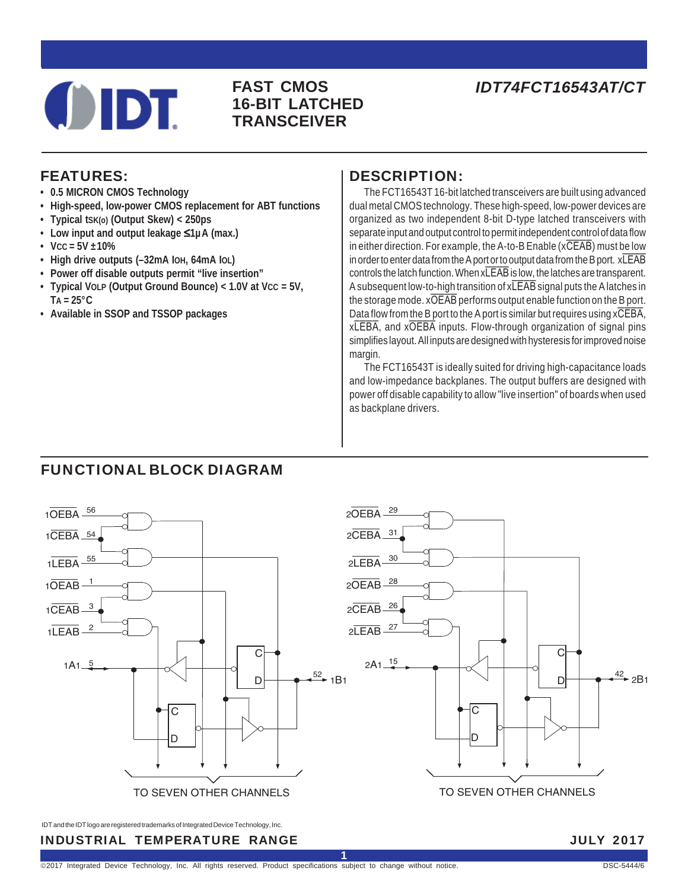# **OIDT**

## **16-BIT LATCHED TRANSCEIVER**

## **FAST CMOS** *IDT74FCT16543AT/CT*

## FEATURES:

- **0.5 MICRON CMOS Technology**
- **High-speed, low-power CMOS replacement for ABT functions**
- **Typical tSK(o) (Output Skew) < 250ps**
- **Low input and output leakage** ≤**1µA (max.)**
- $\cdot$  Vcc = 5V  $\pm$ 10%
- **High drive outputs (–32mA IOH, 64mA IOL)**
- **Power off disable outputs permit "live insertion"**
- **Typical VOLP (Output Ground Bounce) < 1.0V at VCC = 5V,**  $TA = 25^{\circ}C$
- **Available in SSOP and TSSOP packages**

#### DESCRIPTION:

The FCT16543T 16-bit latched transceivers are built using advanced dual metal CMOS technology. These high-speed, low-power devices are organized as two independent 8-bit D-type latched transceivers with separate input and output control to permit independent control of data flow in either direction. For example, the A-to-B Enable  $(x\overline{CEAB})$  must be low in order to enter data from the A port or to output data from the B port. xLEAB controls the latch function. When xLEAB is low, the latches are transparent. A subsequent low-to-high transition of xLEAB signal puts the A latches in the storage mode. xOEAB performs output enable function on the B port. Data flow from the B port to the A port is similar but requires using xCEBA, xLEBA, and xOEBA inputs. Flow-through organization of signal pins simplifies layout. All inputs are designed with hysteresis for improved noise margin.

The FCT16543T is ideally suited for driving high-capacitance loads and low-impedance backplanes. The output buffers are designed with power off disable capability to allow "live insertion" of boards when used as backplane drivers.

## FUNCTIONAL BLOCK DIAGRAM



IDT and the IDT logo are registered trademarks of Integrated Device Technology, Inc.

INDUSTRIAL TEMPERATURE RANGE JULY 2017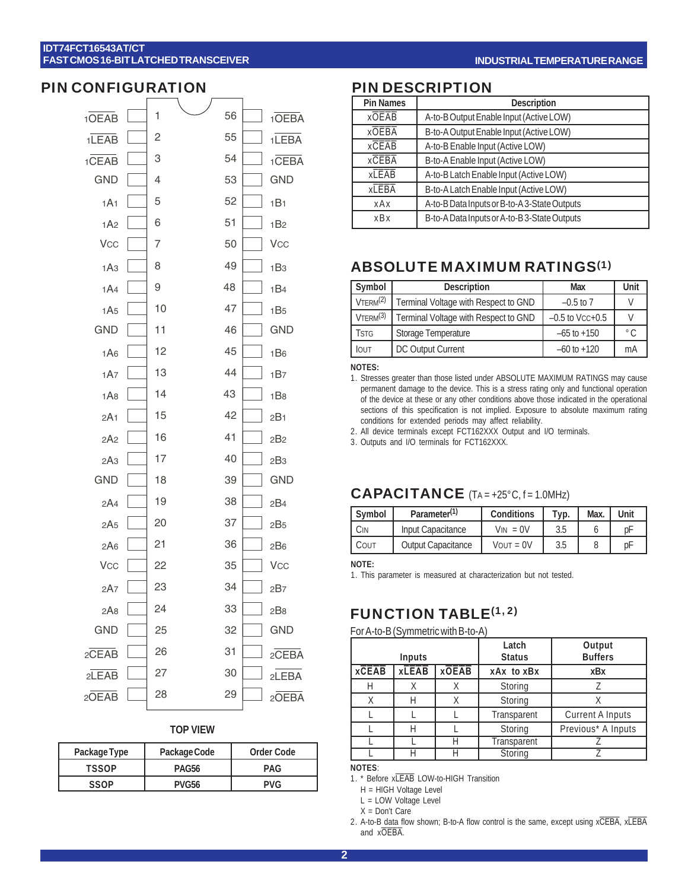#### PIN CONFIGURATION

| 10EAB                 | 1  | 56 | 1OEBA           |
|-----------------------|----|----|-----------------|
| 1LEAB                 | 2  | 55 | 1LEBA           |
| $1$ CEAB              | 3  | 54 | $1$ CEBA        |
| <b>GND</b>            | 4  | 53 | <b>GND</b>      |
| 1A1                   | 5  | 52 | 1B1             |
| 1A2                   | 6  | 51 | 1B <sub>2</sub> |
| <b>V<sub>CC</sub></b> | 7  | 50 | <b>Vcc</b>      |
| 1A3                   | 8  | 49 | 1B <sub>3</sub> |
| 1A4                   | 9  | 48 | 1B4             |
| 1A <sub>5</sub>       | 10 | 47 | 1B <sub>5</sub> |
| <b>GND</b>            | 11 | 46 | <b>GND</b>      |
| 1A6                   | 12 | 45 | 1B <sub>6</sub> |
| 1A7                   | 13 | 44 | 1B7             |
| 1A8                   | 14 | 43 | 1B <sub>8</sub> |
| 2A1                   | 15 | 42 | 2B1             |
| 2A2                   | 16 | 41 | 2B <sub>2</sub> |
| 2A3                   | 17 | 40 | 2B3             |
| <b>GND</b>            | 18 | 39 | <b>GND</b>      |
| 2A4                   | 19 | 38 | 2B4             |
| 2A5                   | 20 | 37 | 2B <sub>5</sub> |
| 2A6                   | 21 | 36 | 2B <sub>6</sub> |
| <b>Vcc</b>            | 22 | 35 | <b>Vcc</b>      |
| 2A7                   | 23 | 34 | 2B7             |
| 2A8                   | 24 | 33 | 2B8             |
| <b>GND</b>            | 25 | 32 | <b>GND</b>      |
| $2\overline{CEAB}$    | 26 | 31 | 2CEBA           |
| 2LEAB                 | 27 | 30 | 2LEBA           |
| 20EAB                 | 28 | 29 | 20EBA           |

#### **TOP VIEW**

| Package Type | Package Code      | Order Code |
|--------------|-------------------|------------|
| <b>TSSOP</b> | PAG <sub>56</sub> | <b>PAG</b> |
| SSOP         | <b>PVG56</b>      | <b>PVG</b> |

#### PIN DESCRIPTION

| <b>Pin Names</b> | <b>Description</b>                           |
|------------------|----------------------------------------------|
| <b>xOEAB</b>     | A-to-B Output Enable Input (Active LOW)      |
| <b>XOEBA</b>     | B-to-A Output Enable Input (Active LOW)      |
| xCEAB            | A-to-B Enable Input (Active LOW)             |
| <b>xCEBA</b>     | B-to-A Enable Input (Active LOW)             |
| <b>xLEAB</b>     | A-to-B Latch Enable Input (Active LOW)       |
| <b>xLEBA</b>     | B-to-A Latch Enable Input (Active LOW)       |
| xAx              | A-to-B Data Inputs or B-to-A 3-State Outputs |
| x B x            | B-to-A Data Inputs or A-to-B 3-State Outputs |
|                  |                                              |

## ABSOLUTE MAXIMUM RATINGS(1)

| Symbol               | <b>Description</b>                   | Max               | Unit          |
|----------------------|--------------------------------------|-------------------|---------------|
| $V$ TERM $^{(2)}$    | Terminal Voltage with Respect to GND | $-0.5$ to 7       |               |
| VTERM <sup>(3)</sup> | Terminal Voltage with Respect to GND | $-0.5$ to Vcc+0.5 |               |
| <b>TSTG</b>          | Storage Temperature                  | $-65$ to $+150$   | $^{\circ}$ C. |
| <b>IOUT</b>          | DC Output Current                    | $-60$ to $+120$   | mA            |

#### **NOTES:**

- 1. Stresses greater than those listed under ABSOLUTE MAXIMUM RATINGS may cause permanent damage to the device. This is a stress rating only and functional operation of the device at these or any other conditions above those indicated in the operational sections of this specification is not implied. Exposure to absolute maximum rating conditions for extended periods may affect reliability.
- 2. All device terminals except FCT162XXX Output and I/O terminals.
- 3. Outputs and I/O terminals for FCT162XXX.

#### CAPACITANCE (TA = +25°C, f = 1.0MHz)

| Symbol | Parameter <sup>(1)</sup>  | Conditions          | Typ. | Max. | Unit |
|--------|---------------------------|---------------------|------|------|------|
| ΟIΝ    | Input Capacitance         | $= 0V$<br>Vin       | 3.5  |      | рF   |
| COUT   | <b>Output Capacitance</b> | $V$ <i>N</i> $= 0V$ | 3.5  |      | рF   |

#### **NOTE:**

1. This parameter is measured at characterization but not tested.

#### FUNCTION TABLE<sup>(1, 2)</sup>

#### For A-to-B (Symmetric with B-to-A)

|                    |              |              | Latch         | Output                  |
|--------------------|--------------|--------------|---------------|-------------------------|
|                    | Inputs       |              | <b>Status</b> | <b>Buffers</b>          |
| $x\overline{CEAB}$ | <b>xLEAB</b> | <b>xOEAB</b> | xAx to xBx    | xBx                     |
| Н                  |              | Х            | Storing       |                         |
|                    |              |              | Storing       |                         |
|                    |              |              | Transparent   | <b>Current A Inputs</b> |
|                    |              |              | Storing       | Previous* A Inputs      |
|                    |              | Н            | Transparent   |                         |
|                    |              |              | Storing       |                         |

**NOTES**:

1. \* Before xLEAB LOW-to-HIGH Transition

L = LOW Voltage Level

 $X = Don't Care$ 

H = HIGH Voltage Level

<sup>2.</sup> A-to-B data flow shown; B-to-A flow control is the same, except using xCEBA, xLEBA and xOEBA.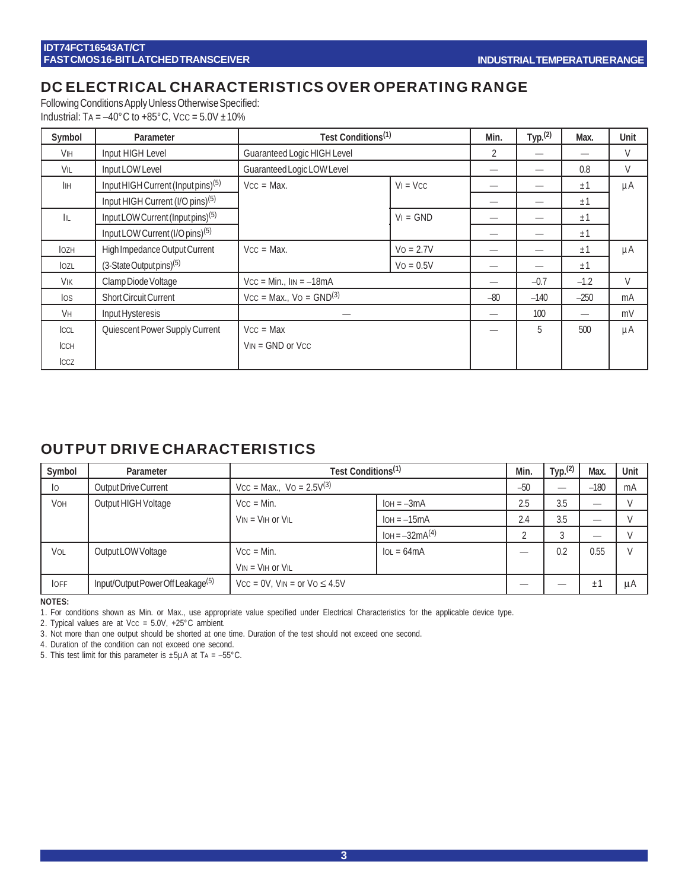## DC ELECTRICAL CHARACTERISTICS OVER OPERATING RANGE

Following Conditions Apply Unless Otherwise Specified: Industrial: TA =  $-40^{\circ}$ C to  $+85^{\circ}$ C, Vcc =  $5.0V \pm 10\%$ 

| Symbol                | Parameter                                      | Test Conditions <sup>(1)</sup> |              | Min.  | Typ. <sup>(2)</sup> | Max.   | Unit    |
|-----------------------|------------------------------------------------|--------------------------------|--------------|-------|---------------------|--------|---------|
| <b>V<sub>IH</sub></b> | Input HIGH Level                               | Guaranteed Logic HIGH Level    |              | 2     |                     |        | V       |
| VIL                   | Input LOW Level                                | Guaranteed Logic LOW Level     |              |       |                     | 0.8    | V       |
| <b>I</b> IH           | Input HIGH Current (Input pins) <sup>(5)</sup> | $VCC = Max$ .                  | $V_1 = VCC$  |       |                     | ±1     | $\mu$ A |
|                       | Input HIGH Current (I/O pins) <sup>(5)</sup>   |                                |              |       |                     | ±1     |         |
| III.                  | Input LOW Current (Input pins) <sup>(5)</sup>  |                                | $VI = GND$   |       |                     | ±1     |         |
|                       | Input LOW Current (I/O pins) <sup>(5)</sup>    |                                |              |       |                     | ±1     |         |
| <b>l</b> ozh          | High Impedance Output Current                  | $VCC = Max$ .                  | $V_0 = 2.7V$ |       |                     | ±1     | μA      |
| lozl                  | $(3-State$ Output pins $)^{(5)}$               |                                | $Vo = 0.5V$  |       |                     | ±1     |         |
| VIK                   | Clamp Diode Voltage                            | $Vcc = Min.$ , $lin = -18mA$   |              |       | $-0.7$              | $-1.2$ | V       |
| $\log$                | <b>Short Circuit Current</b>                   | $Vcc = Max.$ , $Vo = GND(3)$   |              | $-80$ | $-140$              | $-250$ | mA      |
| <b>V<sub>H</sub></b>  | Input Hysteresis                               |                                |              |       | 100                 |        | mV      |
| ICCL                  | Quiescent Power Supply Current                 | $Vcc = Max$                    |              |       | 5                   | 500    | μA      |
| <b>ICCH</b>           |                                                | $V_{IN} = GND$ or $V_{CC}$     |              |       |                     |        |         |
| ICCZ                  |                                                |                                |              |       |                     |        |         |

## OUTPUT DRIVE CHARACTERISTICS

| Symbol     | Parameter                                     | Test Conditions <sup>(1)</sup>      |                          | Min.  | Typ. $(2)$ | Max.    | Unit |
|------------|-----------------------------------------------|-------------------------------------|--------------------------|-------|------------|---------|------|
| Iо         | Output Drive Current                          | $Vcc = Max.$ , $Vo = 2.5V^{(3)}$    |                          | $-50$ |            | $-180$  | mA   |
| <b>VOH</b> | Output HIGH Voltage                           | $V_{CC} = Min$ .                    | $IOH = -3mA$             | 2.5   | 3.5        |         |      |
|            |                                               | $V_{IN} = V_{IH}$ or $V_{IL}$       | $IOH = -15mA$            | 2.4   | 3.5        |         |      |
|            |                                               |                                     | $IOH = -32mA^{(4)}$      |       | 3          |         |      |
| VOL        | Output LOW Voltage                            | $VCC = Min$ .                       | $\Omega = 64 \text{ mA}$ |       | 0.2        | 0.55    |      |
|            |                                               | $V_{IN} = V_{IH}$ or $V_{IL}$       |                          |       |            |         |      |
| <b>OFF</b> | Input/Output Power Off Leakage <sup>(5)</sup> | $Vcc = 0V$ , $VIN = or VO \le 4.5V$ |                          |       |            | $\pm 1$ | μA   |

**NOTES:**

1. For conditions shown as Min. or Max., use appropriate value specified under Electrical Characteristics for the applicable device type.

2. Typical values are at Vcc =  $5.0V$ ,  $+25^{\circ}$ C ambient.

3. Not more than one output should be shorted at one time. Duration of the test should not exceed one second.

4. Duration of the condition can not exceed one second.

5. This test limit for this parameter is  $\pm 5\mu A$  at TA = -55°C.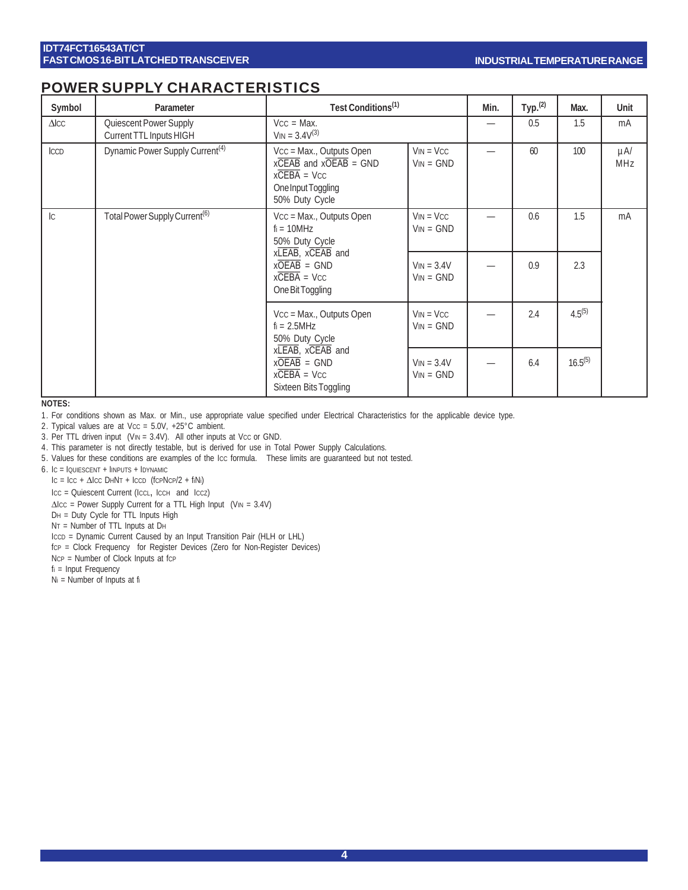## POWER SUPPLY CHARACTERISTICS

| Symbol       | Parameter                                                                              | Test Conditions <sup>(1)</sup>                                                                                                       |                             | Min.                     | Type <sub>1</sub> (2) | Max.         | Unit            |
|--------------|----------------------------------------------------------------------------------------|--------------------------------------------------------------------------------------------------------------------------------------|-----------------------------|--------------------------|-----------------------|--------------|-----------------|
| $\Delta$ ICC | Quiescent Power Supply<br>Current TTL Inputs HIGH                                      | $Vcc = Max$ .<br>$V_{IN} = 3.4V^{(3)}$                                                                                               |                             | $\overline{\phantom{0}}$ | 0.5                   | 1.5          | mA              |
| <b>ICCD</b>  | Dynamic Power Supply Current <sup>(4)</sup>                                            | Vcc = Max., Outputs Open<br>$x\overline{CEAB}$ and $x\overline{OEAB}$ = GND<br>$xCEBA = VCC$<br>One Input Toggling<br>50% Duty Cycle | $VIN = VCC$<br>$VIN = GND$  |                          | 60                    | 100          | $\mu$ A/<br>MHz |
| c            | Total Power Supply Current <sup>(6)</sup>                                              | Vcc = Max., Outputs Open<br>$fi = 10 MHz$<br>50% Duty Cycle                                                                          | $VIN = VCC$<br>$VIN = GND$  |                          | 0.6                   | 1.5          | mA              |
|              |                                                                                        | xLEAB, xCEAB and<br>$x\overline{OEAB}$ = GND<br>$xCEBA = VCC$<br>One Bit Toggling                                                    | $VIN = 3.4V$<br>$VIN = GND$ |                          | 0.9                   | 2.3          |                 |
|              |                                                                                        | Vcc = Max., Outputs Open<br>$fi = 2.5MHz$<br>50% Duty Cycle                                                                          | $VIN = VCC$<br>$VIN = GND$  |                          | 2.4                   | $4.5^{(5)}$  |                 |
|              | xLEAB, xCEAB and<br>$x\overline{OEAB}$ = GND<br>$xCEBA = VCC$<br>Sixteen Bits Toggling |                                                                                                                                      | $VIN = 3.4V$<br>$VIN = GND$ | -                        | 6.4                   | $16.5^{(5)}$ |                 |

**NOTES:**

1. For conditions shown as Max. or Min., use appropriate value specified under Electrical Characteristics for the applicable device type.

2. Typical values are at Vcc =  $5.0V$ , +25°C ambient.

3. Per TTL driven input (VIN =  $3.4V$ ). All other inputs at Vcc or GND.

4. This parameter is not directly testable, but is derived for use in Total Power Supply Calculations.

5. Values for these conditions are examples of the Icc formula. These limits are guaranteed but not tested.

6. IC = IQUIESCENT + IINPUTS + IDYNAMIC

 $IC = ICC + \Delta ICC$  DHNT + ICCD (fCPNCP/2 + fiNi)

ICC = Quiescent Current (ICCL, ICCH and ICCZ)

 $\Delta$ Icc = Power Supply Current for a TTL High Input (VIN = 3.4V)

DH = Duty Cycle for TTL Inputs High

NT = Number of TTL Inputs at DH

ICCD = Dynamic Current Caused by an Input Transition Pair (HLH or LHL)

fCP = Clock Frequency for Register Devices (Zero for Non-Register Devices)

 $NCP =$  Number of Clock Inputs at fcp

fi = Input Frequency

Ni = Number of Inputs at fi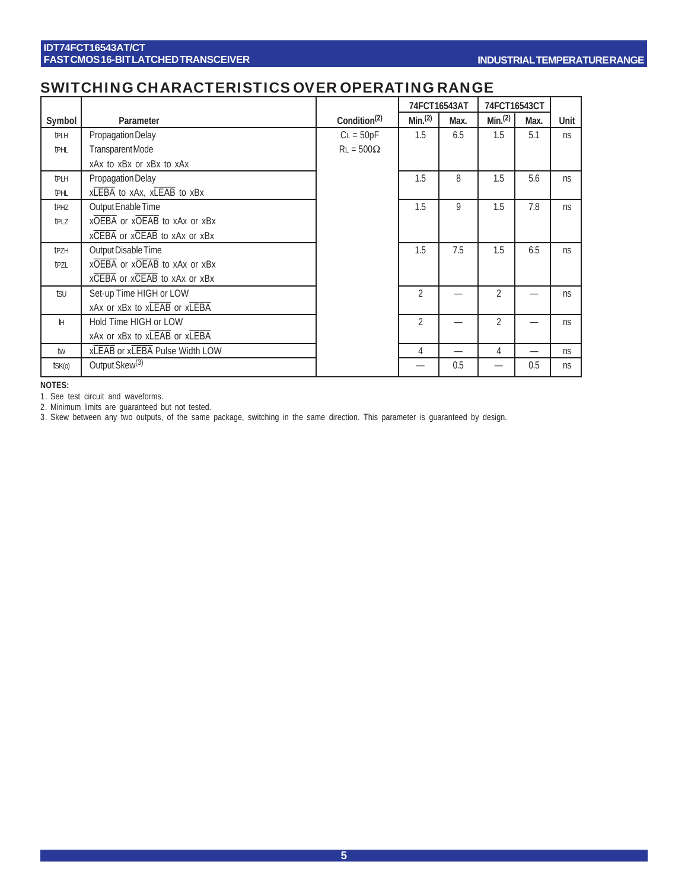## SWITCHING CHARACTERISTICS OVER OPERATING RANGE

|                  |                                |                          | 74FCT16543AT        |      |                    | 74FCT16543CT |      |
|------------------|--------------------------------|--------------------------|---------------------|------|--------------------|--------------|------|
| Symbol           | Parameter                      | Condition <sup>(2)</sup> | Min. <sup>(2)</sup> | Max. | Min <sup>(2)</sup> | Max.         | Unit |
| <b>tPLH</b>      | Propagation Delay              | $CL = 50pF$              | 1.5                 | 6.5  | 1.5                | 5.1          | ns   |
| <b>tPHL</b>      | TransparentMode                | $RL = 500\Omega$         |                     |      |                    |              |      |
|                  | xAx to xBx or xBx to xAx       |                          |                     |      |                    |              |      |
| <b>t</b> PLH     | Propagation Delay              |                          | 1.5                 | 8    | 1.5                | 5.6          | ns   |
| tphl             | xLEBA to xAx, xLEAB to xBx     |                          |                     |      |                    |              |      |
| t <sub>PHZ</sub> | Output Enable Time             |                          | 1.5                 | 9    | 1.5                | 7.8          | ns   |
| t <sub>PLZ</sub> | xOEBA or xOEAB to xAx or xBx   |                          |                     |      |                    |              |      |
|                  | xCEBA or xCEAB to xAx or xBx   |                          |                     |      |                    |              |      |
| tpzh             | Output Disable Time            |                          | 1.5                 | 7.5  | 1.5                | 6.5          | ns   |
| tpzl             | xOEBA or xOEAB to xAx or xBx   |                          |                     |      |                    |              |      |
|                  | xCEBA or xCEAB to xAx or xBx   |                          |                     |      |                    |              |      |
| tsu              | Set-up Time HIGH or LOW        |                          | $\overline{2}$      |      | $\overline{2}$     |              | ns   |
|                  | xAx or xBx to xLEAB or xLEBA   |                          |                     |      |                    |              |      |
| н                | Hold Time HIGH or LOW          |                          | $\overline{2}$      |      | $\overline{2}$     |              | ns   |
|                  | xAx or xBx to xLEAB or xLEBA   |                          |                     |      |                    |              |      |
| tw               | xLEAB or xLEBA Pulse Width LOW |                          | 4                   |      | 4                  | —            | ns   |
| $t$ SK $(o)$     | Output Skew <sup>(3)</sup>     |                          |                     | 0.5  |                    | 0.5          | ns   |

**NOTES:**

1. See test circuit and waveforms.

2. Minimum limits are guaranteed but not tested.

3. Skew between any two outputs, of the same package, switching in the same direction. This parameter is guaranteed by design.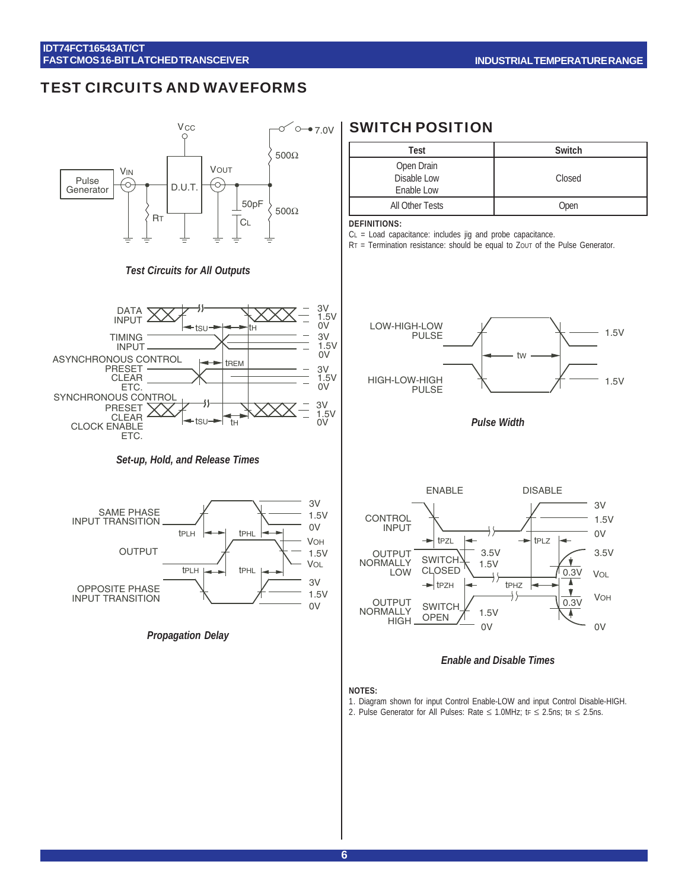### TEST CIRCUITS AND WAVEFORMS



#### *Test Circuits for All Outputs*



#### *Set-up, Hold, and Release Times*



*Propagation Delay*

## SWITCH POSITION

| Test                                    | Switch |
|-----------------------------------------|--------|
| Open Drain<br>Disable Low<br>Enable Low | Closed |
| All Other Tests                         | Open   |

#### **DEFINITIONS:**

CL = Load capacitance: includes jig and probe capacitance.

 $RT =$  Termination resistance: should be equal to Zout of the Pulse Generator.



*Pulse Width*



#### *Enable and Disable Times*

#### **NOTES:**

- 1. Diagram shown for input Control Enable-LOW and input Control Disable-HIGH.
- 2. Pulse Generator for All Pulses: Rate  $\leq$  1.0MHz; tr  $\leq$  2.5ns; tr  $\leq$  2.5ns.